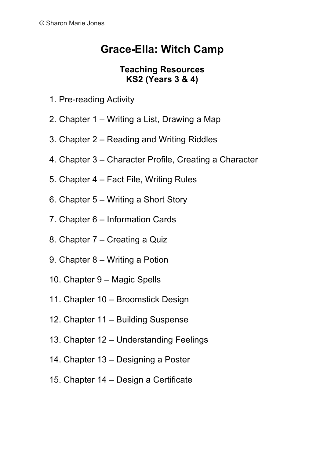## **Grace-Ella: Witch Camp**

## **Teaching Resources KS2 (Years 3 & 4)**

- 1. Pre-reading Activity
- 2. Chapter 1 Writing a List, Drawing a Map
- 3. Chapter 2 Reading and Writing Riddles
- 4. Chapter 3 Character Profile, Creating a Character
- 5. Chapter 4 Fact File, Writing Rules
- 6. Chapter 5 Writing a Short Story
- 7. Chapter 6 Information Cards
- 8. Chapter 7 Creating a Quiz
- 9. Chapter 8 Writing a Potion
- 10. Chapter 9 Magic Spells
- 11. Chapter 10 Broomstick Design
- 12. Chapter 11 Building Suspense
- 13. Chapter 12 Understanding Feelings
- 14. Chapter 13 Designing a Poster
- 15. Chapter 14 Design a Certificate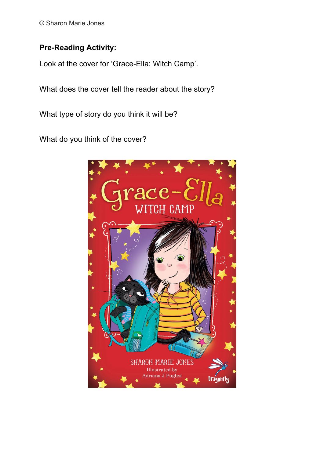© Sharon Marie Jones

## **Pre-Reading Activity:**

Look at the cover for 'Grace-Ella: Witch Camp'.

What does the cover tell the reader about the story?

What type of story do you think it will be?

What do you think of the cover?

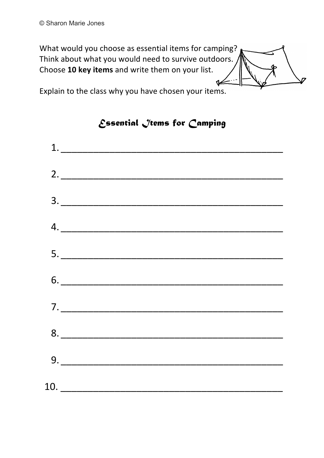What would you choose as essential items for camping? Think about what you would need to survive outdoors. Choose 10 key items and write them on your list.  $\overline{\mathbb{Z}}$ 

Explain to the class why you have chosen your items.



*Essential Items for Camping*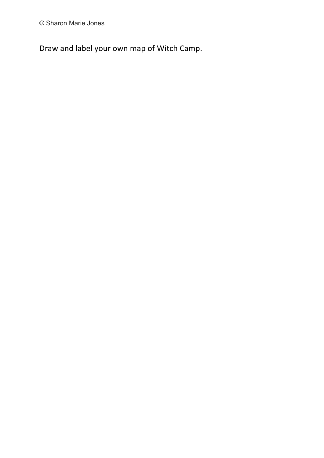© Sharon Marie Jones

Draw and label your own map of Witch Camp.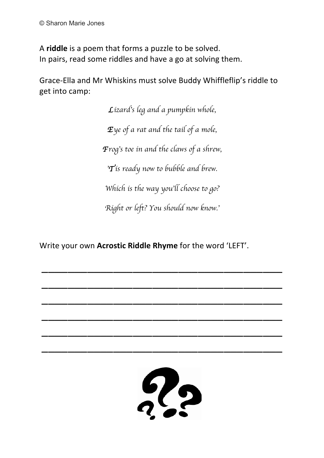A **riddle** is a poem that forms a puzzle to be solved. In pairs, read some riddles and have a go at solving them.

Grace-Ella and Mr Whiskins must solve Buddy Whiffleflip's riddle to get into camp:

> *Lizard*'*s leg and a pumpkin whole, Eye of a rat and the tail of a mole, Frog*'*s toe in and the claws of a shrew,*  '*Tis ready now to bubble and brew. Which is the way you*'*ll choose to go? Right or left? You should now know.*'

Write your own **Acrostic Riddle Rhyme** for the word 'LEFT'.

 $\overline{\phantom{a}}$  , and the contract of the contract of the contract of the contract of the contract of the contract of the contract of the contract of the contract of the contract of the contract of the contract of the contrac

\_\_\_\_\_\_\_\_\_\_\_\_\_\_\_\_\_\_\_\_\_\_\_\_\_\_\_\_\_\_\_\_\_\_\_\_\_

\_\_\_\_\_\_\_\_\_\_\_\_\_\_\_\_\_\_\_\_\_\_\_\_\_\_\_\_\_\_\_\_\_\_\_\_\_

\_\_\_\_\_\_\_\_\_\_\_\_\_\_\_\_\_\_\_\_\_\_\_\_\_\_\_\_\_\_\_\_\_\_\_\_\_

\_\_\_\_\_\_\_\_\_\_\_\_\_\_\_\_\_\_\_\_\_\_\_\_\_\_\_\_\_\_\_\_\_\_\_\_\_

\_\_\_\_\_\_\_\_\_\_\_\_\_\_\_\_\_\_\_\_\_\_\_\_\_\_\_\_\_\_\_\_\_\_\_\_\_

 $\frac{6}{2}$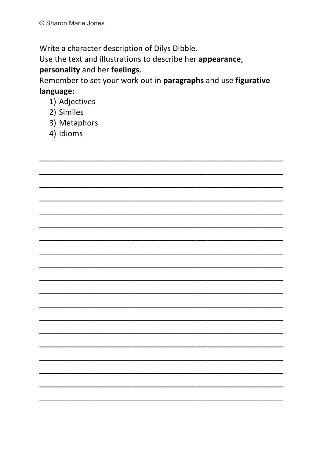Write a character description of Dilys Dibble.

Use the text and illustrations to describe her appearance,

## personality and her feelings.

Remember to set your work out in paragraphs and use figurative language:

- 1) Adjectives
- 2) Similes
- 3) Metaphors
- 4) Idioms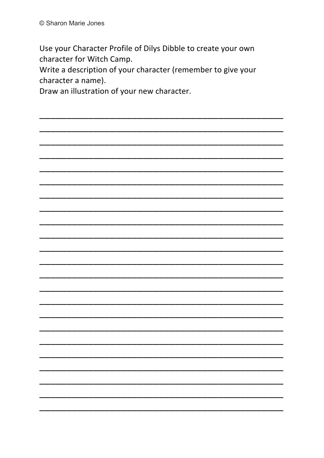Use your Character Profile of Dilys Dibble to create your own character for Witch Camp.

Write a description of your character (remember to give your character a name).

Draw an illustration of your new character.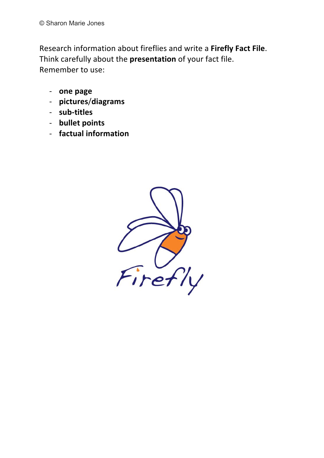Research information about fireflies and write a Firefly Fact File. Think carefully about the **presentation** of your fact file. Remember to use:

- one page
- P **pictures**/**diagrams**
- sub-titles
- **bullet points**
- factual information

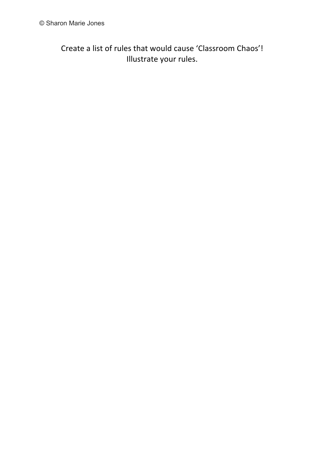Create a list of rules that would cause 'Classroom Chaos'! Illustrate your rules.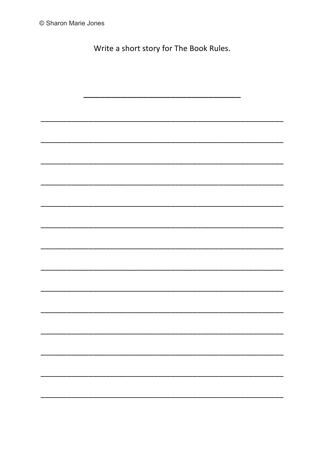Write a short story for The Book Rules.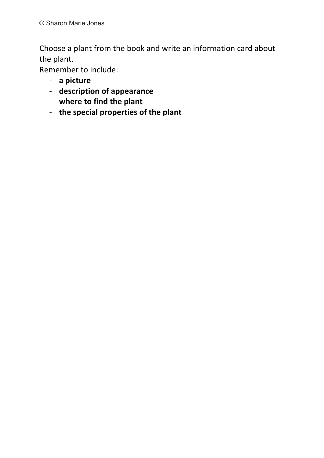Choose a plant from the book and write an information card about the plant.

Remember to include:

- a picture
- description of appearance
- where to find the plant
- the special properties of the plant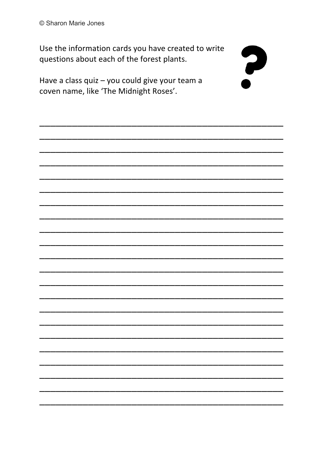Use the information cards you have created to write questions about each of the forest plants.

?

Have a class quiz - you could give your team a coven name, like 'The Midnight Roses'.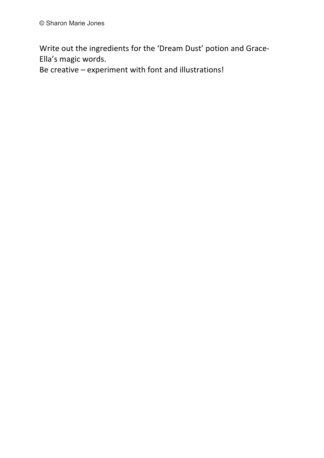Write out the ingredients for the 'Dream Dust' potion and Grace-Ella's magic words.

Be creative - experiment with font and illustrations!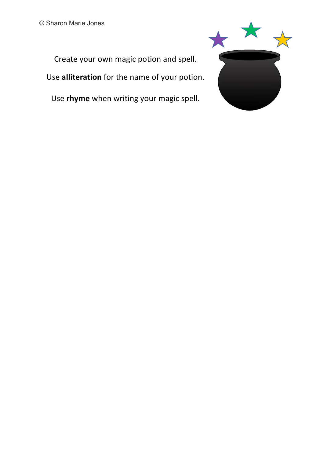

Create your own magic potion and spell. Use **alliteration** for the name of your potion.

Use *rhyme* when writing your magic spell.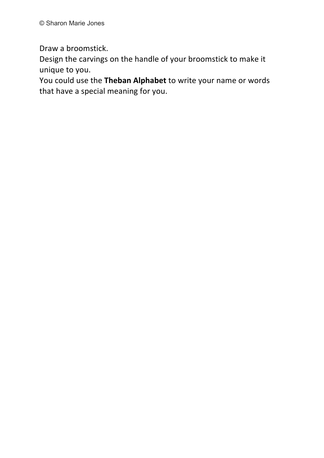Draw a broomstick.

Design the carvings on the handle of your broomstick to make it unique to you.

You could use the Theban Alphabet to write your name or words that have a special meaning for you.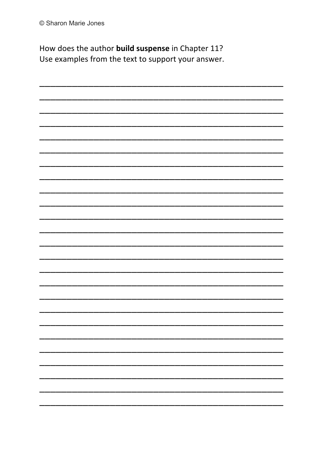How does the author build suspense in Chapter 11? Use examples from the text to support your answer.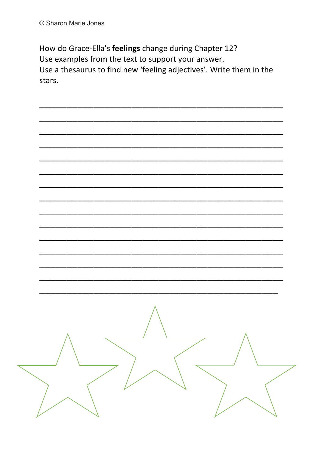How do Grace-Ella's feelings change during Chapter 12? Use examples from the text to support your answer. Use a thesaurus to find new 'feeling adjectives'. Write them in the stars.

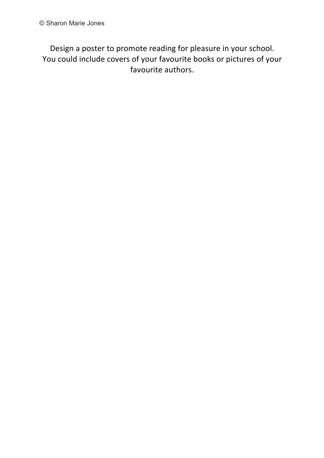Design a poster to promote reading for pleasure in your school. You could include covers of your favourite books or pictures of your favourite authors.